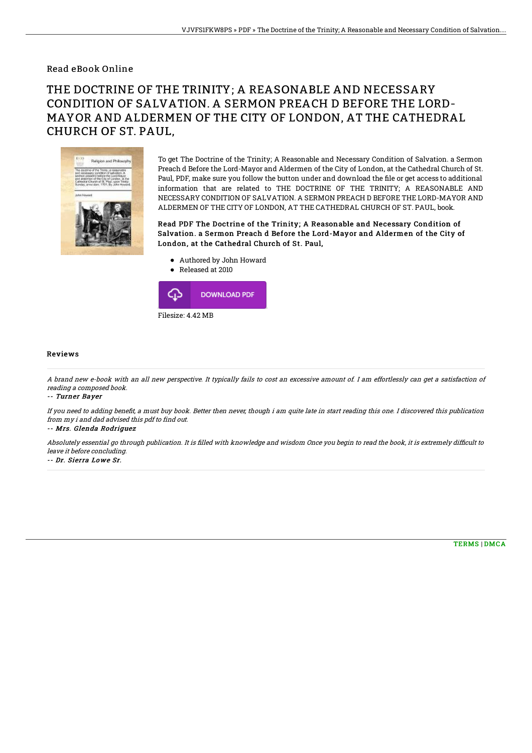Read eBook Online

## THE DOCTRINE OF THE TRINITY; A REASONABLE AND NECESSARY CONDITION OF SALVATION. A SERMON PREACH D BEFORE THE LORD-MAYOR AND ALDERMEN OF THE CITY OF LONDON, AT THE CATHEDRAL CHURCH OF ST. PAUL,



To get The Doctrine of the Trinity; A Reasonable and Necessary Condition of Salvation. a Sermon Preach d Before the Lord-Mayor and Aldermen of the City of London, at the Cathedral Church of St. Paul, PDF, make sure you follow the button under and download the file or get access to additional information that are related to THE DOCTRINE OF THE TRINITY; A REASONABLE AND NECESSARY CONDITION OF SALVATION. A SERMON PREACH D BEFORE THE LORD-MAYOR AND ALDERMEN OF THE CITY OF LONDON, AT THE CATHEDRAL CHURCH OF ST. PAUL, book.

Read PDF The Doctrine of the Trinity; A Reasonable and Necessary Condition of Salvation. a Sermon Preach d Before the Lord-Mayor and Aldermen of the City of London, at the Cathedral Church of St. Paul,

- Authored by John Howard
- Released at 2010 ⊕ **DOWNLOAD PDF**

Filesize: 4.42 MB

## Reviews

A brand new e-book with an all new perspective. It typically fails to cost an excessive amount of. I am effortlessly can get <sup>a</sup> satisfaction of reading <sup>a</sup> composed book.

-- Turner Bayer

If you need to adding benefit, a must buy book. Better then never, though i am quite late in start reading this one. I discovered this publication from my i and dad advised this pdf to find out.

-- Mrs. Glenda Rodriguez

Absolutely essential go through publication. It is filled with knowledge and wisdom Once you begin to read the book, it is extremely difficult to leave it before concluding.

-- Dr. Sierra Lowe Sr.